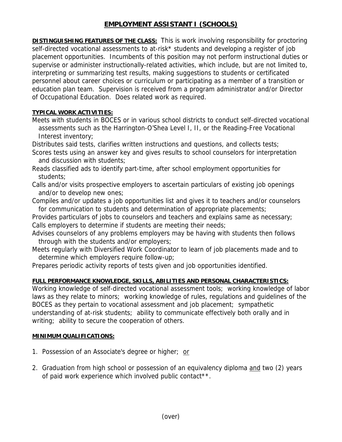## **EMPLOYMENT ASSISTANT I (SCHOOLS)**

**DISTINGUISHING FEATURES OF THE CLASS:** This is work involving responsibility for proctoring self-directed vocational assessments to at-risk\* students and developing a register of job placement opportunities. Incumbents of this position may not perform instructional duties or supervise or administer instructionally-related activities, which include, but are not limited to, interpreting or summarizing test results, making suggestions to students or certificated personnel about career choices or curriculum or participating as a member of a transition or education plan team. Supervision is received from a program administrator and/or Director of Occupational Education. Does related work as required.

## **TYPICAL WORK ACTIVITIES:**

Meets with students in BOCES or in various school districts to conduct self-directed vocational assessments such as the Harrington-O'Shea Level I, II, or the Reading-Free Vocational Interest inventory;

Distributes said tests, clarifies written instructions and questions, and collects tests;

- Scores tests using an answer key and gives results to school counselors for interpretation and discussion with students;
- Reads classified ads to identify part-time, after school employment opportunities for students;
- Calls and/or visits prospective employers to ascertain particulars of existing job openings and/or to develop new ones;
- Compiles and/or updates a job opportunities list and gives it to teachers and/or counselors for communication to students and determination of appropriate placements;

Provides particulars of jobs to counselors and teachers and explains same as necessary; Calls employers to determine if students are meeting their needs;

- Advises counselors of any problems employers may be having with students then follows through with the students and/or employers;
- Meets regularly with Diversified Work Coordinator to learn of job placements made and to determine which employers require follow-up;

Prepares periodic activity reports of tests given and job opportunities identified.

## **FULL PERFORMANCE KNOWLEDGE, SKILLS, ABILITIES AND PERSONAL CHARACTERISTICS:**

Working knowledge of self-directed vocational assessment tools; working knowledge of labor laws as they relate to minors; working knowledge of rules, regulations and guidelines of the BOCES as they pertain to vocational assessment and job placement; sympathetic understanding of at-risk students; ability to communicate effectively both orally and in writing; ability to secure the cooperation of others.

## **MINIMUM QUALIFICATIONS:**

- 1. Possession of an Associate's degree or higher; or
- 2. Graduation from high school or possession of an equivalency diploma and two (2) years of paid work experience which involved public contact\*\*.